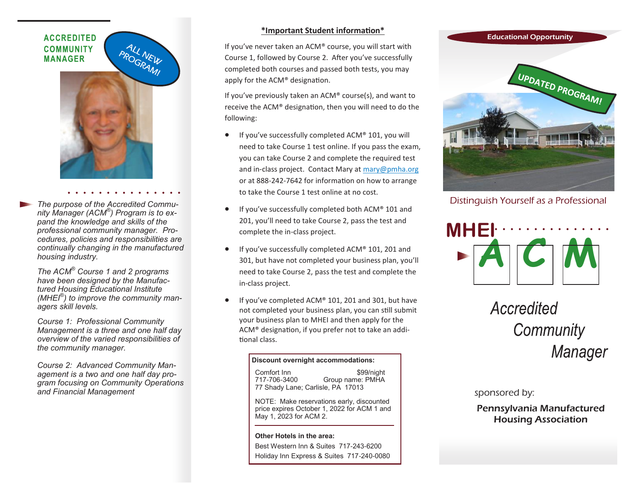## **ACCREDITED COMMUNITY MANAGER**



*The purpose of the Accredited Community Manager (ACM® ) Program is to expand the knowledge and skills of the professional community manager. Procedures, policies and responsibilities are continually changing in the manufactured housing industry.* 

*The ACM® Course 1 and 2 programs have been designed by the Manufactured Housing Educational Institute (MHEI® ) to improve the community managers skill levels.* 

*Course 1: Professional Community Management is a three and one half day overview of the varied responsibilities of the community manager.*

*Course 2: Advanced Community Management is a two and one half day program focusing on Community Operations and Financial Management* 

### **\*Important Student information\***

If you've never taken an ACM® course, you will start with Course 1, followed by Course 2. After you've successfully completed both courses and passed both tests, you may apply for the ACM® designation.

If you've previously taken an ACM® course(s), and want to receive the ACM® designation, then you will need to do the following:

- If you've successfully completed ACM® 101, you will need to take Course 1 test online. If you pass the exam, you can take Course 2 and complete the required test and in-class project. Contact Mary at [mary@pmha.org](mailto:mary@pmha.org)  or at 888-242-7642 for information on how to arrange to take the Course 1 test online at no cost.
- If you've successfully completed both ACM® 101 and 201, you'll need to take Course 2, pass the test and complete the in-class project.
- If you've successfully completed ACM® 101, 201 and 301, but have not completed your business plan, you'll need to take Course 2, pass the test and complete the in-class project.
- If you've completed ACM® 101, 201 and 301, but have not completed your business plan, you can still submit your business plan to MHEI and then apply for the ACM® designation, if you prefer not to take an additional class.

#### **Discount overnight accommodations:**

Comfort Inn \$99/night<br>717-706-3400 Group name: PMHA Group name: PMHA 77 Shady Lane; Carlisle, PA 17013

NOTE: Make reservations early, discounted price expires October 1, 2022 for ACM 1 and May 1, 2023 for ACM 2.

**Other Hotels in the area:** Best Western Inn & Suites 717-243-6200 Holiday Inn Express & Suites 717-240-0080



Distinguish Yourself as a Professional



Accredited Community Manager

sponsored by:

Pennsylvania Manufactured Housing Association